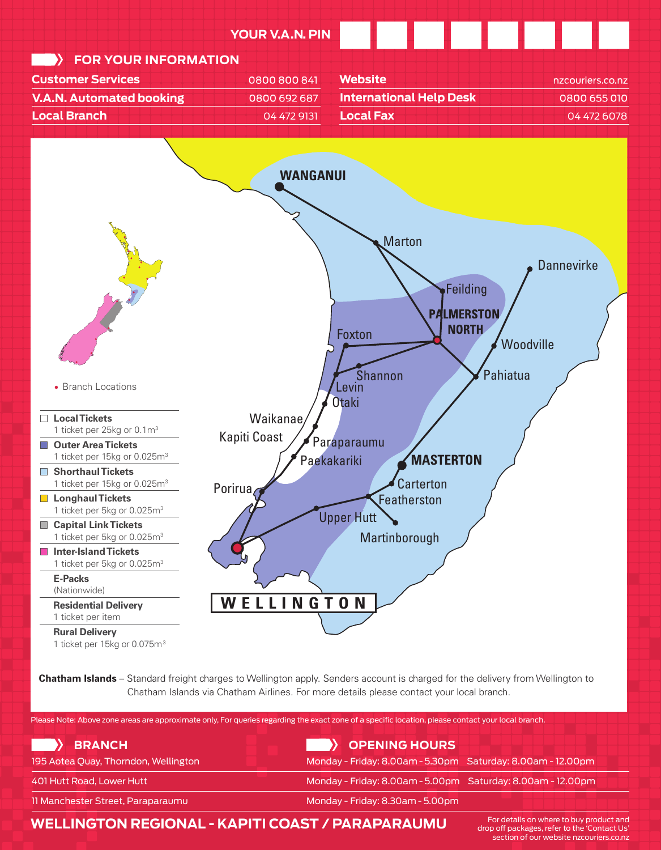



**E-Packs Chatham Islands** – Standard freight charges to Wellington apply. Senders account is charged for the delivery from Wellington to Chatham Islands via Chatham Airlines. For more details please contact your local branch.

| Please Note: Above zone areas are approximate only, For queries regarding the exact zone of a specific location, please contact your local branch. |                                                             |
|----------------------------------------------------------------------------------------------------------------------------------------------------|-------------------------------------------------------------|
| <b>BRANCH</b>                                                                                                                                      | OPENING HOURS                                               |
| 195 Aotea Quay, Thorndon, Wellington                                                                                                               | Monday - Friday: 8.00am - 5.30pm Saturday: 8.00am - 12.00pm |
| 401 Hutt Road, Lower Hutt                                                                                                                          | Monday - Friday: 8.00am - 5.00pm Saturday: 8.00am - 12.00pm |
| 11 Manchester Street, Paraparaumu                                                                                                                  | Monday - Friday: 8.30am - 5.00pm                            |

**WELLINGTON REGIONAL - KAPITI COAST / PARAPARAUMU**

For details on where to buy product and drop off packages, refer to the 'Contact Us' section of our website nzcouriers.co.nz